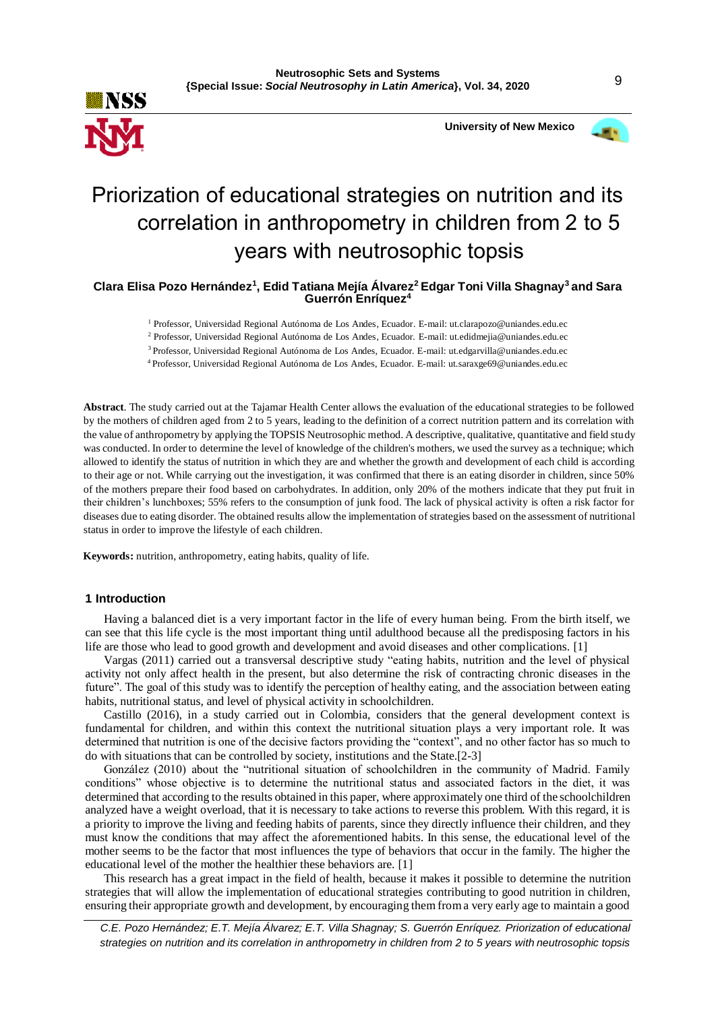

 **University of New Mexico**



# Priorization of educational strategies on nutrition and its correlation in anthropometry in children from 2 to 5 years with neutrosophic topsis

**Clara Elisa Pozo Hernández<sup>1</sup> , Edid Tatiana Mejía Álvarez<sup>2</sup>Edgar Toni Villa Shagnay<sup>3</sup>and Sara Guerrón Enríquez<sup>4</sup>**

<sup>1</sup> Professor, Universidad Regional Autónoma de Los Andes, Ecuador. E-mail: ut.clarapozo@uniandes.edu.ec

<sup>2</sup> Professor, Universidad Regional Autónoma de Los Andes, Ecuador. E-mail: ut.edidmejia@uniandes.edu.ec

<sup>3</sup>Professor, Universidad Regional Autónoma de Los Andes, Ecuador. E-mail: ut.edgarvilla@uniandes.edu.ec

<sup>4</sup>Professor, Universidad Regional Autónoma de Los Andes, Ecuador. E-mail: ut.saraxge69@uniandes.edu.ec

**Abstract**. The study carried out at the Tajamar Health Center allows the evaluation of the educational strategies to be followed by the mothers of children aged from 2 to 5 years, leading to the definition of a correct nutrition pattern and its correlation with the value of anthropometry by applying the TOPSIS Neutrosophic method. A descriptive, qualitative, quantitative and field study was conducted. In order to determine the level of knowledge of the children's mothers, we used the survey as a technique; which allowed to identify the status of nutrition in which they are and whether the growth and development of each child is according to their age or not. While carrying out the investigation, it was confirmed that there is an eating disorder in children, since 50% of the mothers prepare their food based on carbohydrates. In addition, only 20% of the mothers indicate that they put fruit in their children's lunchboxes; 55% refers to the consumption of junk food. The lack of physical activity is often a risk factor for diseases due to eating disorder. The obtained results allow the implementation of strategies based on the assessment of nutritional status in order to improve the lifestyle of each children.

**Keywords:** nutrition, anthropometry, eating habits, quality of life.

## **1 Introduction**

Having a balanced diet is a very important factor in the life of every human being. From the birth itself, we can see that this life cycle is the most important thing until adulthood because all the predisposing factors in his life are those who lead to good growth and development and avoid diseases and other complications. [1]

Vargas (2011) carried out a transversal descriptive study "eating habits, nutrition and the level of physical activity not only affect health in the present, but also determine the risk of contracting chronic diseases in the future". The goal of this study was to identify the perception of healthy eating, and the association between eating habits, nutritional status, and level of physical activity in schoolchildren.

Castillo (2016), in a study carried out in Colombia, considers that the general development context is fundamental for children, and within this context the nutritional situation plays a very important role. It was determined that nutrition is one of the decisive factors providing the "context", and no other factor has so much to do with situations that can be controlled by society, institutions and the State.[2-3]

González (2010) about the "nutritional situation of schoolchildren in the community of Madrid. Family conditions" whose objective is to determine the nutritional status and associated factors in the diet, it was determined that according to the results obtained in this paper, where approximately one third of the schoolchildren analyzed have a weight overload, that it is necessary to take actions to reverse this problem. With this regard, it is a priority to improve the living and feeding habits of parents, since they directly influence their children, and they must know the conditions that may affect the aforementioned habits. In this sense, the educational level of the mother seems to be the factor that most influences the type of behaviors that occur in the family. The higher the educational level of the mother the healthier these behaviors are. [1]

This research has a great impact in the field of health, because it makes it possible to determine the nutrition strategies that will allow the implementation of educational strategies contributing to good nutrition in children, ensuring their appropriate growth and development, by encouraging them from a very early age to maintain a good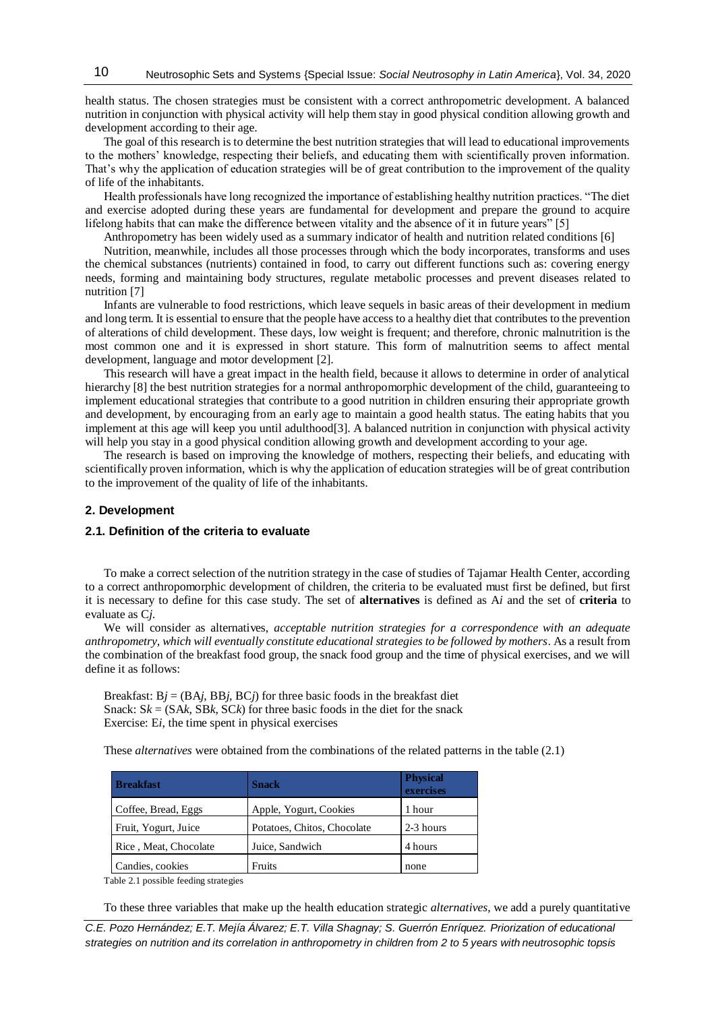health status. The chosen strategies must be consistent with a correct anthropometric development. A balanced nutrition in conjunction with physical activity will help them stay in good physical condition allowing growth and development according to their age.

The goal of this research is to determine the best nutrition strategies that will lead to educational improvements to the mothers' knowledge, respecting their beliefs, and educating them with scientifically proven information. That's why the application of education strategies will be of great contribution to the improvement of the quality of life of the inhabitants.

Health professionals have long recognized the importance of establishing healthy nutrition practices. "The diet and exercise adopted during these years are fundamental for development and prepare the ground to acquire lifelong habits that can make the difference between vitality and the absence of it in future years" [5]

Anthropometry has been widely used as a summary indicator of health and nutrition related conditions [6]

Nutrition, meanwhile, includes all those processes through which the body incorporates, transforms and uses the chemical substances (nutrients) contained in food, to carry out different functions such as: covering energy needs, forming and maintaining body structures, regulate metabolic processes and prevent diseases related to nutrition [7]

Infants are vulnerable to food restrictions, which leave sequels in basic areas of their development in medium and long term. It is essential to ensure that the people have access to a healthy diet that contributes to the prevention of alterations of child development. These days, low weight is frequent; and therefore, chronic malnutrition is the most common one and it is expressed in short stature. This form of malnutrition seems to affect mental development, language and motor development [2].

This research will have a great impact in the health field, because it allows to determine in order of analytical hierarchy [8] the best nutrition strategies for a normal anthropomorphic development of the child, guaranteeing to implement educational strategies that contribute to a good nutrition in children ensuring their appropriate growth and development, by encouraging from an early age to maintain a good health status. The eating habits that you implement at this age will keep you until adulthood[3]. A balanced nutrition in conjunction with physical activity will help you stay in a good physical condition allowing growth and development according to your age.

The research is based on improving the knowledge of mothers, respecting their beliefs, and educating with scientifically proven information, which is why the application of education strategies will be of great contribution to the improvement of the quality of life of the inhabitants.

# **2. Development**

## **2.1. Definition of the criteria to evaluate**

To make a correct selection of the nutrition strategy in the case of studies of Tajamar Health Center, according to a correct anthropomorphic development of children, the criteria to be evaluated must first be defined, but first it is necessary to define for this case study. The set of **alternatives** is defined as A*i* and the set of **criteria** to evaluate as C*j*.

We will consider as alternatives, *acceptable nutrition strategies for a correspondence with an adequate anthropometry, which will eventually constitute educational strategies to be followed by mothers*. As a result from the combination of the breakfast food group, the snack food group and the time of physical exercises, and we will define it as follows:

Breakfast:  $Bj = (BAj, BBj, BCj)$  for three basic foods in the breakfast diet Snack:  $S_k = (SAk, SBk, SCk)$  for three basic foods in the diet for the snack Exercise: E*i*, the time spent in physical exercises

These *alternatives* were obtained from the combinations of the related patterns in the table (2.1)

| <b>Breakfast</b>      | <b>Snack</b>                | <b>Physical</b><br>exercises |
|-----------------------|-----------------------------|------------------------------|
| Coffee, Bread, Eggs   | Apple, Yogurt, Cookies      | 1 hour                       |
| Fruit, Yogurt, Juice  | Potatoes, Chitos, Chocolate | 2-3 hours                    |
| Rice, Meat, Chocolate | Juice, Sandwich             | 4 hours                      |
| Candies, cookies      | Fruits                      | none                         |

Table 2.1 possible feeding strategies

To these three variables that make up the health education strategic *alternatives*, we add a purely quantitative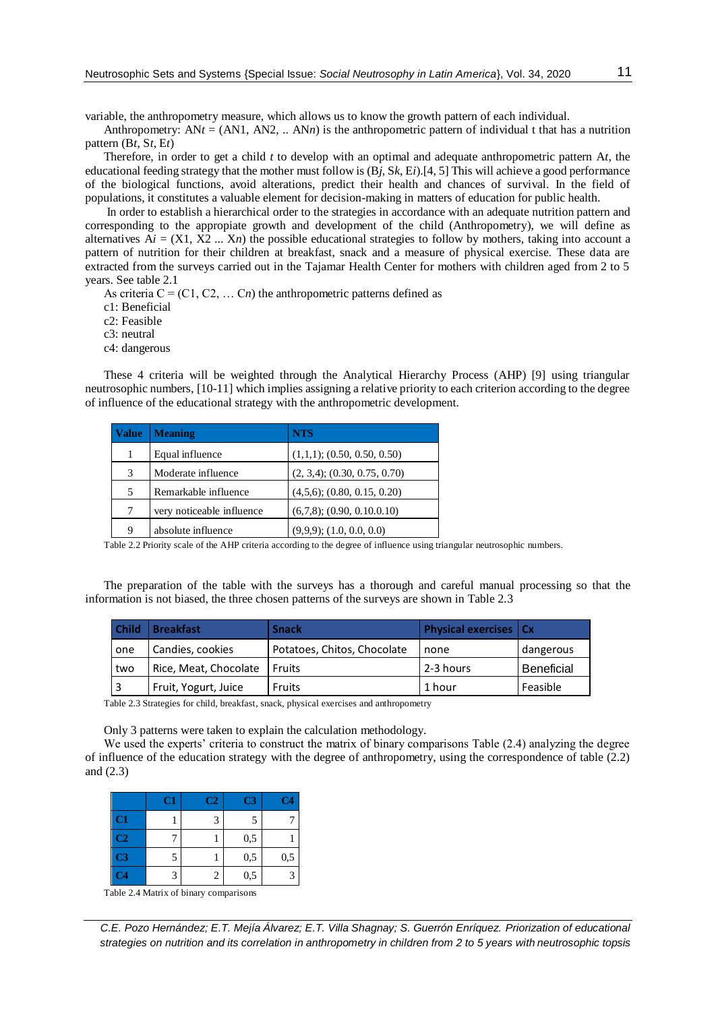variable, the anthropometry measure, which allows us to know the growth pattern of each individual.

Anthropometry:  $ANt = (AN1, AN2, ... ANn)$  is the anthropometric pattern of individual t that has a nutrition pattern (B*t*, S*t*, E*t*)

Therefore, in order to get a child *t* to develop with an optimal and adequate anthropometric pattern A*t*, the educational feeding strategy that the mother must follow is (B*j*, S*k*, E*i*).[4[, 5\]](#page-6-0) This will achieve a good performance of the biological functions, avoid alterations, predict their health and chances of survival. In the field of populations, it constitutes a valuable element for decision-making in matters of education for public health.

In order to establish a hierarchical order to the strategies in accordance with an adequate nutrition pattern and corresponding to the appropiate growth and development of the child (Anthropometry), we will define as alternatives  $Ai = (X1, X2, \ldots, Xn)$  the possible educational strategies to follow by mothers, taking into account a pattern of nutrition for their children at breakfast, snack and a measure of physical exercise. These data are extracted from the surveys carried out in the Tajamar Health Center for mothers with children aged from 2 to 5 years. See table 2.1

As criteria  $C = (C1, C2, \dots, Cn)$  the anthropometric patterns defined as

c1: Beneficial

c2: Feasible

c3: neutral

c4: dangerous

These 4 criteria will be weighted through the Analytical Hierarchy Process (AHP) [9] using triangular neutrosophic numbers, [10-11] which implies assigning a relative priority to each criterion according to the degree of influence of the educational strategy with the anthropometric development.

| <b>Value</b> | <b>Meaning</b>            | <b>NTS</b>                         |
|--------------|---------------------------|------------------------------------|
|              | Equal influence           | $(1,1,1)$ ; (0.50, 0.50, 0.50)     |
| 3            | Moderate influence        | $(2, 3, 4)$ ; $(0.30, 0.75, 0.70)$ |
| 5            | Remarkable influence      | $(4,5,6)$ ; $(0.80, 0.15, 0.20)$   |
| 7            | very noticeable influence | $(6,7,8)$ ; $(0.90, 0.10.0.10)$    |
| 9            | absolute influence        | $(9,9,9)$ ; $(1.0, 0.0, 0.0)$      |

Table 2.2 Priority scale of the AHP criteria according to the degree of influence using triangular neutrosophic numbers.

The preparation of the table with the surveys has a thorough and careful manual processing so that the information is not biased, the three chosen patterns of the surveys are shown in Table 2.3

| <b>Child</b> | <b>Breakfast</b>      | <b>Snack</b>                | <b>Physical exercises   Cx</b> |                   |
|--------------|-----------------------|-----------------------------|--------------------------------|-------------------|
| one          | Candies, cookies      | Potatoes, Chitos, Chocolate | none                           | dangerous         |
| two          | Rice, Meat, Chocolate | l Fruits                    | 2-3 hours                      | <b>Beneficial</b> |
| 3            | Fruit, Yogurt, Juice  | <b>Fruits</b>               | 1 hour                         | Feasible          |

Table 2.3 Strategies for child, breakfast, snack, physical exercises and anthropometry

Only 3 patterns were taken to explain the calculation methodology.

We used the experts' criteria to construct the matrix of binary comparisons Table (2.4) analyzing the degree of influence of the education strategy with the degree of anthropometry, using the correspondence of table (2.2) and (2.3)

|                        | C1 | C2 | C <sub>3</sub> | C4  |
|------------------------|----|----|----------------|-----|
| C1                     |    | 3  | 5              |     |
| C2                     |    |    | 0,5            |     |
| $\overline{\text{C3}}$ | 5  |    | 0,5            | 0,5 |
| C <sub>4</sub>         | 3  | 2  | 0,5            |     |

Table 2.4 Matrix of binary comparisons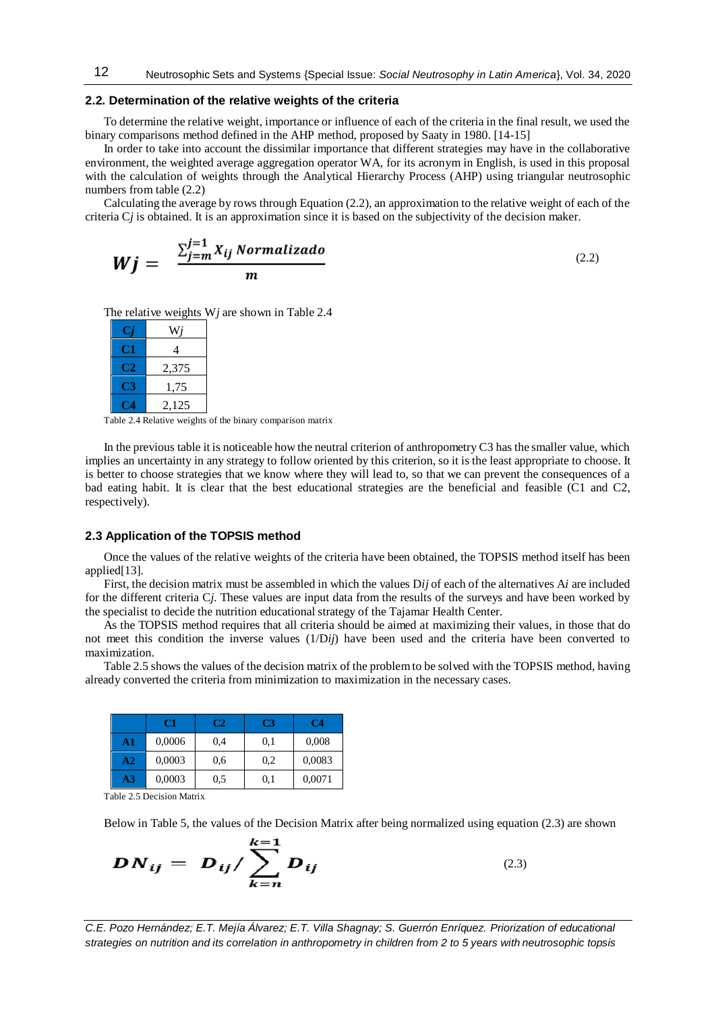#### **2.2. Determination of the relative weights of the criteria**

To determine the relative weight, importance or influence of each of the criteria in the final result, we used the binary comparisons method defined in the AHP method, proposed by Saaty in 1980. [14-15]

In order to take into account the dissimilar importance that different strategies may have in the collaborative environment, the weighted average aggregation operator WA, for its acronym in English, is used in this proposal with the calculation of weights through the Analytical Hierarchy Process (AHP) using triangular neutrosophic numbers from table (2.2)

Calculating the average by rows through Equation (2.2), an approximation to the relative weight of each of the criteria C*j* is obtained. It is an approximation since it is based on the subjectivity of the decision maker.

$$
Wj = \frac{\sum_{j=m}^{j=1} X_{ij} \text{ Normalizado}}{m} \tag{2.2}
$$

The relative weights W*j* are shown in Table 2.4

|      | Wi    |
|------|-------|
| Сı   | 4     |
| C 22 | 2,375 |
| t 13 | 1,75  |
|      | 2,125 |

Table 2.4 Relative weights of the binary comparison matrix

In the previous table it is noticeable how the neutral criterion of anthropometry C3 has the smaller value, which implies an uncertainty in any strategy to follow oriented by this criterion, so it is the least appropriate to choose. It is better to choose strategies that we know where they will lead to, so that we can prevent the consequences of a bad eating habit. It is clear that the best educational strategies are the beneficial and feasible (C1 and C2, respectively).

## **2.3 Application of the TOPSIS method**

Once the values of the relative weights of the criteria have been obtained, the TOPSIS method itself has been applied[13].

First, the decision matrix must be assembled in which the values D*ij* of each of the alternatives A*i* are included for the different criteria C*j*. These values are input data from the results of the surveys and have been worked by the specialist to decide the nutrition educational strategy of the Tajamar Health Center.

As the TOPSIS method requires that all criteria should be aimed at maximizing their values, in those that do not meet this condition the inverse values (1/D*ij*) have been used and the criteria have been converted to maximization.

Table 2.5 shows the values of the decision matrix of the problem to be solved with the TOPSIS method, having already converted the criteria from minimization to maximization in the necessary cases.

|                | C1     | C2  | CЗ  | C4     |
|----------------|--------|-----|-----|--------|
| A1             | 0,0006 | 0,4 | 0,1 | 0,008  |
| A <sub>2</sub> | 0,0003 | 0.6 | 0.2 | 0,0083 |
| A3             | 0,0003 | 0,5 | 0.1 | 0,0071 |

Table 2.5 Decision Matrix

Below in Table 5, the values of the Decision Matrix after being normalized using equation (2.3) are shown

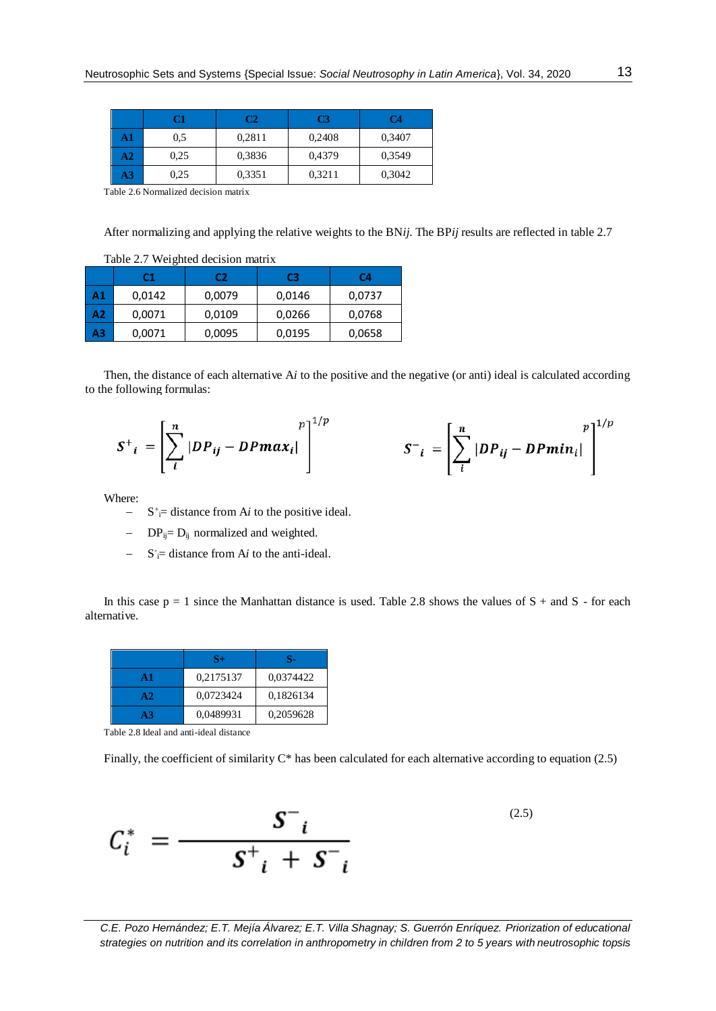|               | C1   | C2     | C3     | C4     |
|---------------|------|--------|--------|--------|
| A1            | 0.5  | 0.2811 | 0.2408 | 0,3407 |
| $\mathbf{A2}$ | 0.25 | 0,3836 | 0,4379 | 0,3549 |
| A3            | 0.25 | 0,3351 | 0,3211 | 0,3042 |

Table 2.6 Normalized decision matrix

After normalizing and applying the relative weights to the BN*ij*. The BP*ij* results are reflected in table 2.7

|    | Table 2.7 Weighted decision matrix |                |        |        |  |
|----|------------------------------------|----------------|--------|--------|--|
|    | C1                                 | C2<br>C4<br>C3 |        |        |  |
| A1 | 0,0142                             | 0,0079         | 0,0146 | 0,0737 |  |
| A2 | 0,0071                             | 0,0109         | 0,0266 | 0,0768 |  |
| A3 | 0,0071                             | 0,0095         | 0,0195 | 0,0658 |  |

Then, the distance of each alternative A*i* to the positive and the negative (or anti) ideal is calculated according to the following formulas:

$$
S^+_{i} = \left[\sum_{i}^{n} |DP_{ij} - DPmax_{i}| \right]^{1/p} \qquad S^-_{i} = \left[\sum_{i}^{n} |DP_{ij} - DPmin_{i}| \right]^{1/p}
$$

Where:

- $S^+=$  distance from A*i* to the positive ideal.
- $DP_{ij} = D_{ij}$  normalized and weighted.
- $-$  S<sup>-</sup> $=$  distance from A*i* to the anti-ideal.

In this case  $p = 1$  since the Manhattan distance is used. Table 2.8 shows the values of  $S +$  and  $S -$  for each alternative.

|                | S+        | я.        |
|----------------|-----------|-----------|
| $\mathbf{A}$ 1 | 0,2175137 | 0,0374422 |
| A2             | 0.0723424 | 0,1826134 |
| A <sub>3</sub> | 0,0489931 | 0,2059628 |

Table 2.8 Ideal and anti-ideal distance

Finally, the coefficient of similarity  $C^*$  has been calculated for each alternative according to equation (2.5)

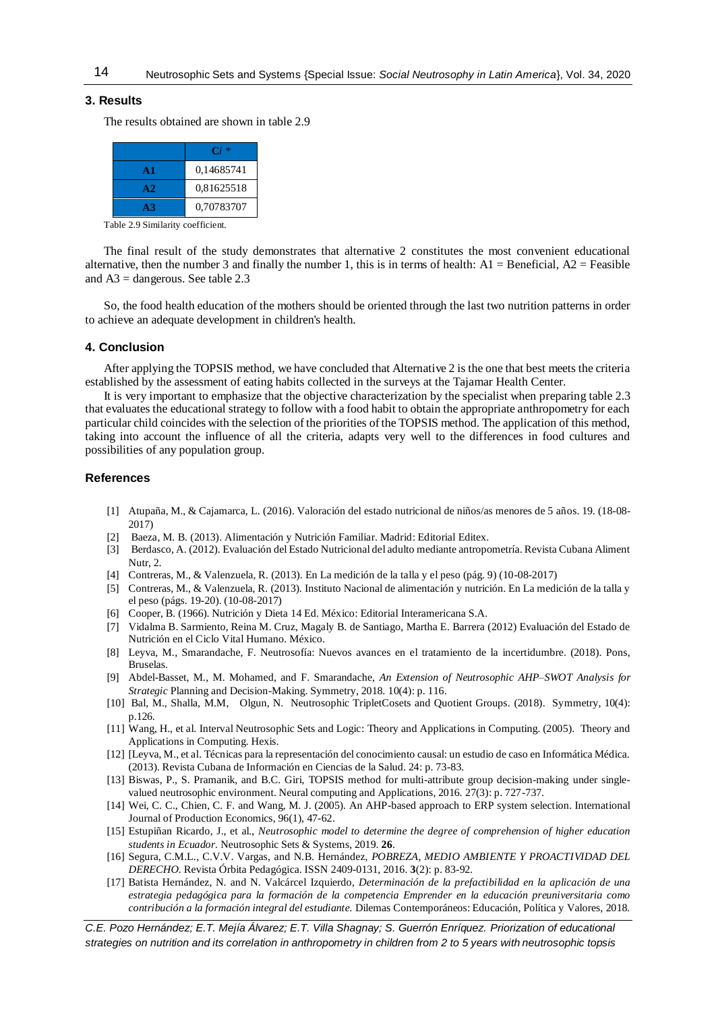## **3. Results**

The results obtained are shown in table 2.9

|                | $\mathbf{C}$ i $*$ |
|----------------|--------------------|
| $\mathbf{A}$ 1 | 0,14685741         |
| A2             | 0,81625518         |
| A <sub>3</sub> | 0,70783707         |

Table 2.9 Similarity coefficient.

The final result of the study demonstrates that alternative 2 constitutes the most convenient educational alternative, then the number 3 and finally the number 1, this is in terms of health:  $A1 =$ Beneficial,  $A2 =$ Feasible and  $A3$  = dangerous. See table 2.3

So, the food health education of the mothers should be oriented through the last two nutrition patterns in order to achieve an adequate development in children's health.

## **4. Conclusion**

After applying the TOPSIS method, we have concluded that Alternative 2 is the one that best meets the criteria established by the assessment of eating habits collected in the surveys at the Tajamar Health Center.

It is very important to emphasize that the objective characterization by the specialist when preparing table 2.3 that evaluates the educational strategy to follow with a food habit to obtain the appropriate anthropometry for each particular child coincides with the selection of the priorities of the TOPSIS method. The application of this method, taking into account the influence of all the criteria, adapts very well to the differences in food cultures and possibilities of any population group.

#### **References**

- [1] Atupaña, M., & Cajamarca, L. (2016). Valoración del estado nutricional de niños/as menores de 5 años. 19. (18-08- 2017)
- [2] Baeza, M. B. (2013). Alimentación y Nutrición Familiar. Madrid: Editorial Editex.
- [3] Berdasco, A. (2012). Evaluación del Estado Nutricional del adulto mediante antropometría. Revista Cubana Aliment Nutr, 2.
- [4] Contreras, M., & Valenzuela, R. (2013). En La medición de la talla y el peso (pág. 9) (10-08-2017)
- [5] Contreras, M., & Valenzuela, R. (2013). Instituto Nacional de alimentación y nutrición. En La medición de la talla y el peso (págs. 19-20). (10-08-2017)
- [6] Cooper, B. (1966). Nutrición y Dieta 14 Ed. México: Editorial Interamericana S.A.
- [7] Vidalma B. Sarmiento, Reina M. Cruz, Magaly B. de Santiago, Martha E. Barrera (2012) Evaluación del Estado de Nutrición en el Ciclo Vital Humano. México.
- [8] Leyva, M., Smarandache, F. Neutrosofía: Nuevos avances en el tratamiento de la incertidumbre. (2018). Pons, Bruselas.
- [9] Abdel-Basset, M., M. Mohamed, and F. Smarandache, *An Extension of Neutrosophic AHP–SWOT Analysis for Strategic* Planning and Decision-Making. Symmetry, 2018. 10(4): p. 116.
- [10] Bal, M., Shalla, M.M, Olgun, N. Neutrosophic TripletCosets and Quotient Groups. (2018). Symmetry, 10(4): p.126.
- [11] Wang, H., et al. Interval Neutrosophic Sets and Logic: Theory and Applications in Computing. (2005). Theory and Applications in Computing. Hexis.
- [12] [Leyva, M., et al. Técnicas para la representación del conocimiento causal: un estudio de caso en Informática Médica. (2013). Revista Cubana de Información en Ciencias de la Salud. 24: p. 73-83.
- [13] Biswas, P., S. Pramanik, and B.C. Giri, TOPSIS method for multi-attribute group decision-making under singlevalued neutrosophic environment. Neural computing and Applications, 2016. 27(3): p. 727-737.
- [14] Wei, C. C., Chien, C. F. and Wang, M. J. (2005). An AHP-based approach to ERP system selection. International Journal of Production Economics, 96(1), 47-62.
- [15] Estupiñan Ricardo, J., et al., *Neutrosophic model to determine the degree of comprehension of higher education students in Ecuador.* Neutrosophic Sets & Systems, 2019. **26**.
- [16] Segura, C.M.L., C.V.V. Vargas, and N.B. Hernández, *POBREZA, MEDIO AMBIENTE Y PROACTIVIDAD DEL DERECHO.* Revista Órbita Pedagógica. ISSN 2409-0131, 2016. **3**(2): p. 83-92.
- [17] Batista Hernández, N. and N. Valcárcel Izquierdo, *Determinación de la prefactibilidad en la aplicación de una estrategia pedagógica para la formación de la competencia Emprender en la educación preuniversitaria como contribución a la formación integral del estudiante.* Dilemas Contemporáneos: Educación, Política y Valores, 2018.

14